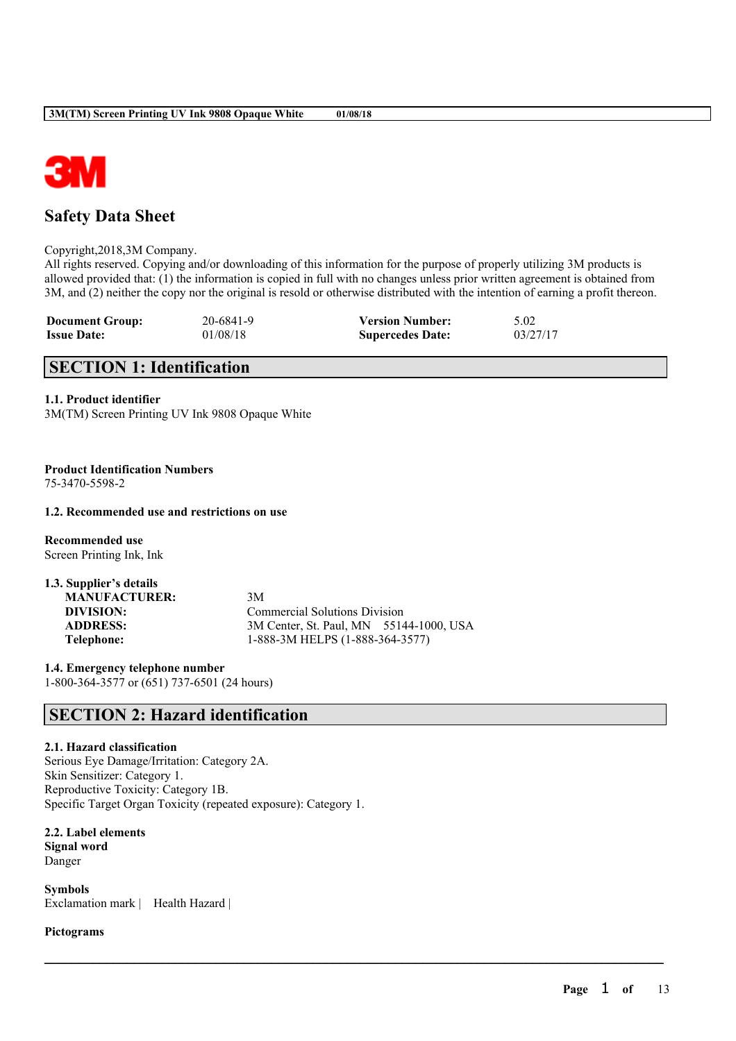

# **Safety Data Sheet**

### Copyright,2018,3M Company.

All rights reserved. Copying and/or downloading of this information for the purpose of properly utilizing 3M products is allowed provided that: (1) the information is copied in full with no changes unless prior written agreement is obtained from 3M, and (2) neither the copy nor the original is resold or otherwise distributed with the intention of earning a profit thereon.

 $\mathcal{L}_\mathcal{L} = \mathcal{L}_\mathcal{L} = \mathcal{L}_\mathcal{L} = \mathcal{L}_\mathcal{L} = \mathcal{L}_\mathcal{L} = \mathcal{L}_\mathcal{L} = \mathcal{L}_\mathcal{L} = \mathcal{L}_\mathcal{L} = \mathcal{L}_\mathcal{L} = \mathcal{L}_\mathcal{L} = \mathcal{L}_\mathcal{L} = \mathcal{L}_\mathcal{L} = \mathcal{L}_\mathcal{L} = \mathcal{L}_\mathcal{L} = \mathcal{L}_\mathcal{L} = \mathcal{L}_\mathcal{L} = \mathcal{L}_\mathcal{L}$ 

| <b>Document Group:</b> | 20-6841-9 | <b>Version Number:</b>  | 5.02     |
|------------------------|-----------|-------------------------|----------|
| <b>Issue Date:</b>     | 01/08/18  | <b>Supercedes Date:</b> | 03/27/17 |

# **SECTION 1: Identification**

## **1.1. Product identifier**

3M(TM) Screen Printing UV Ink 9808 Opaque White

#### **Product Identification Numbers** 75-3470-5598-2

## **1.2. Recommended use and restrictions on use**

**Recommended use** Screen Printing Ink, Ink

| 1.3. Supplier's details |                                         |  |
|-------------------------|-----------------------------------------|--|
| <b>MANUFACTURER:</b>    | 3M                                      |  |
| DIVISION:               | <b>Commercial Solutions Division</b>    |  |
| <b>ADDRESS:</b>         | 3M Center, St. Paul, MN 55144-1000, USA |  |
| Telephone:              | 1-888-3M HELPS (1-888-364-3577)         |  |

**1.4. Emergency telephone number** 1-800-364-3577 or (651) 737-6501 (24 hours)

# **SECTION 2: Hazard identification**

## **2.1. Hazard classification**

Serious Eye Damage/Irritation: Category 2A. Skin Sensitizer: Category 1. Reproductive Toxicity: Category 1B. Specific Target Organ Toxicity (repeated exposure): Category 1.

**2.2. Label elements**

**Signal word** Danger

**Symbols** Exclamation mark | Health Hazard |

### **Pictograms**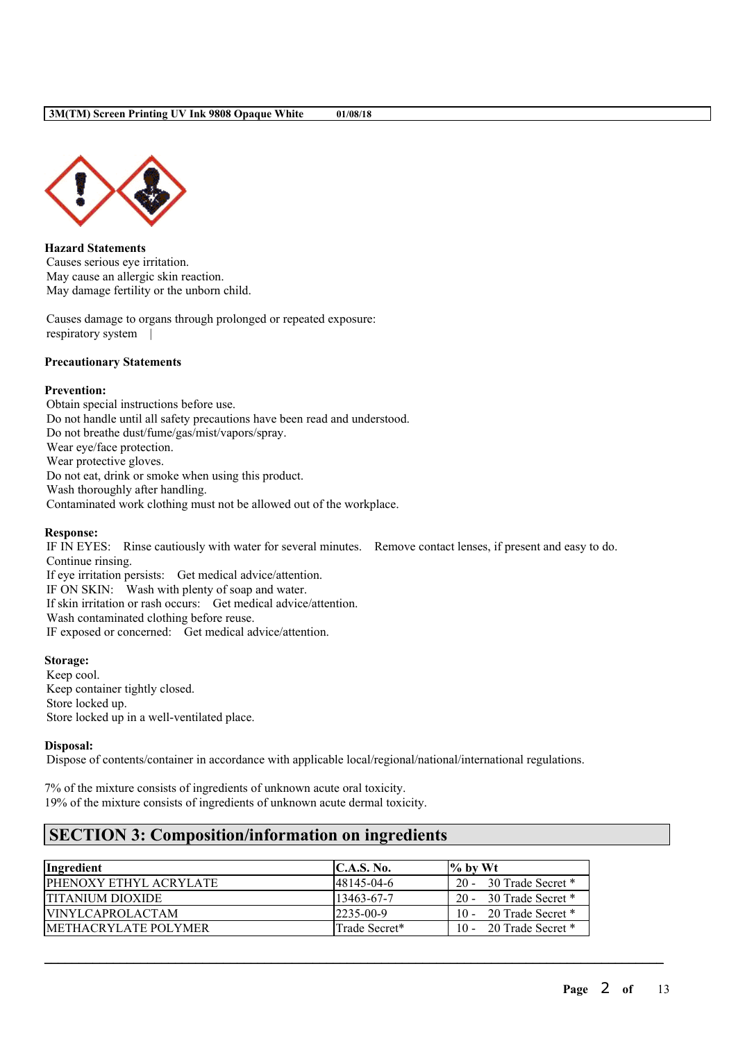

**Hazard Statements** Causes serious eye irritation. May cause an allergic skin reaction. May damage fertility or the unborn child.

Causes damage to organs through prolonged or repeated exposure: respiratory system |

## **Precautionary Statements**

## **Prevention:**

Obtain special instructions before use. Do not handle until all safety precautions have been read and understood. Do not breathe dust/fume/gas/mist/vapors/spray. Wear eye/face protection. Wear protective gloves. Do not eat, drink or smoke when using this product. Wash thoroughly after handling. Contaminated work clothing must not be allowed out of the workplace.

#### **Response:**

IF IN EYES: Rinse cautiously with water for several minutes. Remove contact lenses, if present and easy to do. Continue rinsing.

If eye irritation persists: Get medical advice/attention.

IF ON SKIN: Wash with plenty of soap and water.

If skin irritation or rash occurs: Get medical advice/attention.

Wash contaminated clothing before reuse.

IF exposed or concerned: Get medical advice/attention.

## **Storage:**

Keep cool. Keep container tightly closed. Store locked up. Store locked up in a well-ventilated place.

## **Disposal:**

Dispose of contents/container in accordance with applicable local/regional/national/international regulations.

7% of the mixture consists of ingredients of unknown acute oral toxicity. 19% of the mixture consists of ingredients of unknown acute dermal toxicity.

# **SECTION 3: Composition/information on ingredients**

| Ingredient                     | C.A.S. No.       | $\%$ by Wt               |
|--------------------------------|------------------|--------------------------|
| <b>IPHENOXY ETHYL ACRYLATE</b> | 148145-04-6      | 20 - 30 Trade Secret *   |
| <b>TITANIUM DIOXIDE</b>        | $13463 - 67 - 7$ | 20 - 30 Trade Secret *   |
| <b>VINYLCAPROLACTAM</b>        | $2235 - 00 - 9$  | 10 - 20 Trade Secret $*$ |
| <b>IMETHACRYLATE POLYMER</b>   | Trade Secret*    | 10 - 20 Trade Secret *   |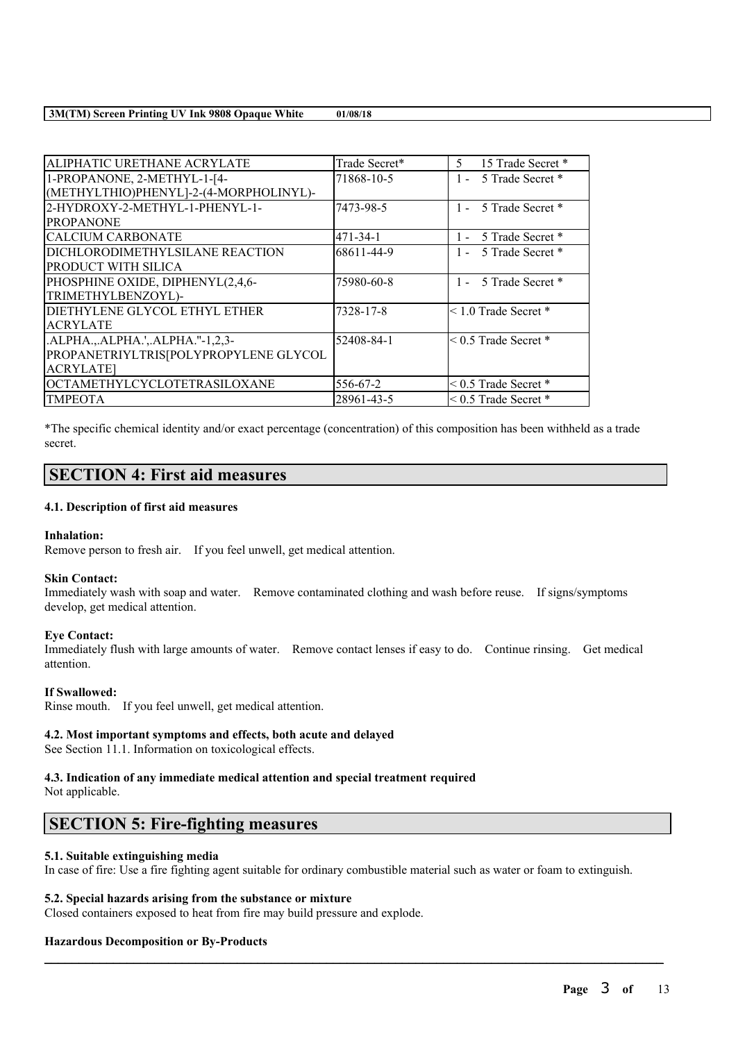| ALIPHATIC URETHANE ACRYLATE            | Trade Secret* | 15 Trade Secret *<br>5.     |
|----------------------------------------|---------------|-----------------------------|
| 1-PROPANONE, 2-METHYL-1-[4-            | 71868-10-5    | 5 Trade Secret *<br>$1 -$   |
| (METHYLTHIO)PHENYL]-2-(4-MORPHOLINYL)- |               |                             |
| 2-HYDROXY-2-METHYL-1-PHENYL-1-         | 7473-98-5     | 1 - 5 Trade Secret *        |
| <b>PROPANONE</b>                       |               |                             |
| CALCIUM CARBONATE                      | 471-34-1      | 5 Trade Secret *<br>1 -     |
| DICHLORODIMETHYLSILANE REACTION        | 68611-44-9    | 5 Trade Secret *            |
| PRODUCT WITH SILICA                    |               |                             |
| PHOSPHINE OXIDE, DIPHENYL(2,4,6-       | 75980-60-8    | 1 - 5 Trade Secret *        |
| TRIMETHYLBENZOYL)-                     |               |                             |
| DIETHYLENE GLYCOL ETHYL ETHER          | 7328-17-8     | $< 1.0$ Trade Secret $*$    |
| <b>ACRYLATE</b>                        |               |                             |
| .ALPHA.,.ALPHA.',.ALPHA."-1,2,3-       | 52408-84-1    | $< 0.5$ Trade Secret $*$    |
| PROPANETRIYLTRIS[POLYPROPYLENE GLYCOL  |               |                             |
| <b>ACRYLATE</b>                        |               |                             |
| <b>OCTAMETHYLCYCLOTETRASILOXANE</b>    | 556-67-2      | $\leq$ 0.5 Trade Secret $*$ |
| <b>TMPEOTA</b>                         | 28961-43-5    | $< 0.5$ Trade Secret $*$    |

\*The specific chemical identity and/or exact percentage (concentration) of this composition has been withheld as a trade secret.

## **SECTION 4: First aid measures**

### **4.1. Description of first aid measures**

## **Inhalation:**

Remove person to fresh air. If you feel unwell, get medical attention.

## **Skin Contact:**

Immediately wash with soap and water. Remove contaminated clothing and wash before reuse. If signs/symptoms develop, get medical attention.

## **Eye Contact:**

Immediately flush with large amounts of water. Remove contact lenses if easy to do. Continue rinsing. Get medical attention.

## **If Swallowed:**

Rinse mouth. If you feel unwell, get medical attention.

## **4.2. Most important symptoms and effects, both acute and delayed**

See Section 11.1. Information on toxicological effects.

## **4.3. Indication of any immediate medical attention and special treatment required**

Not applicable.

# **SECTION 5: Fire-fighting measures**

#### **5.1. Suitable extinguishing media**

In case of fire: Use a fire fighting agent suitable for ordinary combustible material such as water or foam to extinguish.

 $\mathcal{L}_\mathcal{L} = \mathcal{L}_\mathcal{L} = \mathcal{L}_\mathcal{L} = \mathcal{L}_\mathcal{L} = \mathcal{L}_\mathcal{L} = \mathcal{L}_\mathcal{L} = \mathcal{L}_\mathcal{L} = \mathcal{L}_\mathcal{L} = \mathcal{L}_\mathcal{L} = \mathcal{L}_\mathcal{L} = \mathcal{L}_\mathcal{L} = \mathcal{L}_\mathcal{L} = \mathcal{L}_\mathcal{L} = \mathcal{L}_\mathcal{L} = \mathcal{L}_\mathcal{L} = \mathcal{L}_\mathcal{L} = \mathcal{L}_\mathcal{L}$ 

## **5.2. Special hazards arising from the substance or mixture**

Closed containers exposed to heat from fire may build pressure and explode.

## **Hazardous Decomposition or By-Products**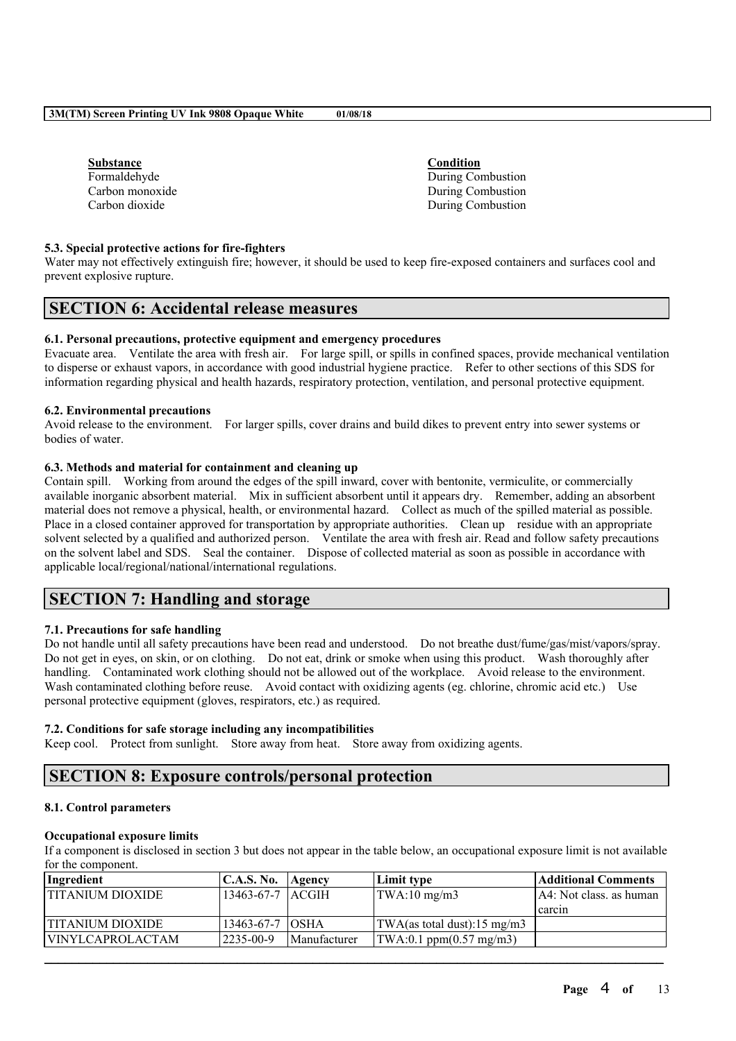| Substance       |
|-----------------|
| Formaldehyde    |
| Carbon monoxide |
| Carbon dioxide  |

**Substance Condition** During Combustion During Combustion During Combustion

## **5.3. Special protective actions for fire-fighters**

Water may not effectively extinguish fire; however, it should be used to keep fire-exposed containers and surfaces cool and prevent explosive rupture.

# **SECTION 6: Accidental release measures**

## **6.1. Personal precautions, protective equipment and emergency procedures**

Evacuate area. Ventilate the area with fresh air. For large spill, or spills in confined spaces, provide mechanical ventilation to disperse or exhaust vapors, in accordance with good industrial hygiene practice. Refer to other sections of this SDS for information regarding physical and health hazards, respiratory protection, ventilation, and personal protective equipment.

## **6.2. Environmental precautions**

Avoid release to the environment. For larger spills, cover drains and build dikes to prevent entry into sewer systems or bodies of water.

### **6.3. Methods and material for containment and cleaning up**

Contain spill. Working from around the edges of the spill inward, cover with bentonite, vermiculite, or commercially available inorganic absorbent material. Mix in sufficient absorbent until it appears dry. Remember, adding an absorbent material does not remove a physical, health, or environmental hazard. Collect as much of the spilled material as possible. Place in a closed container approved for transportation by appropriate authorities. Clean up residue with an appropriate solvent selected by a qualified and authorized person. Ventilate the area with fresh air. Read and follow safety precautions on the solvent label and SDS. Seal the container. Dispose of collected material as soon as possible in accordance with applicable local/regional/national/international regulations.

# **SECTION 7: Handling and storage**

## **7.1. Precautions for safe handling**

Do not handle until all safety precautions have been read and understood. Do not breathe dust/fume/gas/mist/vapors/spray. Do not get in eyes, on skin, or on clothing. Do not eat, drink or smoke when using this product. Wash thoroughly after handling. Contaminated work clothing should not be allowed out of the workplace. Avoid release to the environment. Wash contaminated clothing before reuse. Avoid contact with oxidizing agents (eg. chlorine, chromic acid etc.) Use personal protective equipment (gloves, respirators, etc.) as required.

## **7.2. Conditions for safe storage including any incompatibilities**

Keep cool. Protect from sunlight. Store away from heat. Store away from oxidizing agents.

# **SECTION 8: Exposure controls/personal protection**

## **8.1. Control parameters**

## **Occupational exposure limits**

If a component is disclosed in section 3 but does not appear in the table below, an occupational exposure limit is not available for the component.

| Ingredient              | <b>C.A.S. No.</b>    | Agency              | Limit type                                       | Additional Comments       |
|-------------------------|----------------------|---------------------|--------------------------------------------------|---------------------------|
| ITITANIUM DIOXIDE       | $13463-67-7$ $ACGIH$ |                     | $\text{TWA}:10 \text{ mg/m3}$                    | $AA:$ Not class. as human |
|                         |                      |                     |                                                  | l carcin                  |
| <b>TITANIUM DIOXIDE</b> | $13463 - 67 - 7$     | <b>TOSHA</b>        | $ TWA$ (as total dust):15 mg/m3                  |                           |
| <b>VINYLCAPROLACTAM</b> | 2235-00-9            | <i>Manufacturer</i> | $\text{TWA}:0.1 \text{ ppm}(0.57 \text{ mg/m3})$ |                           |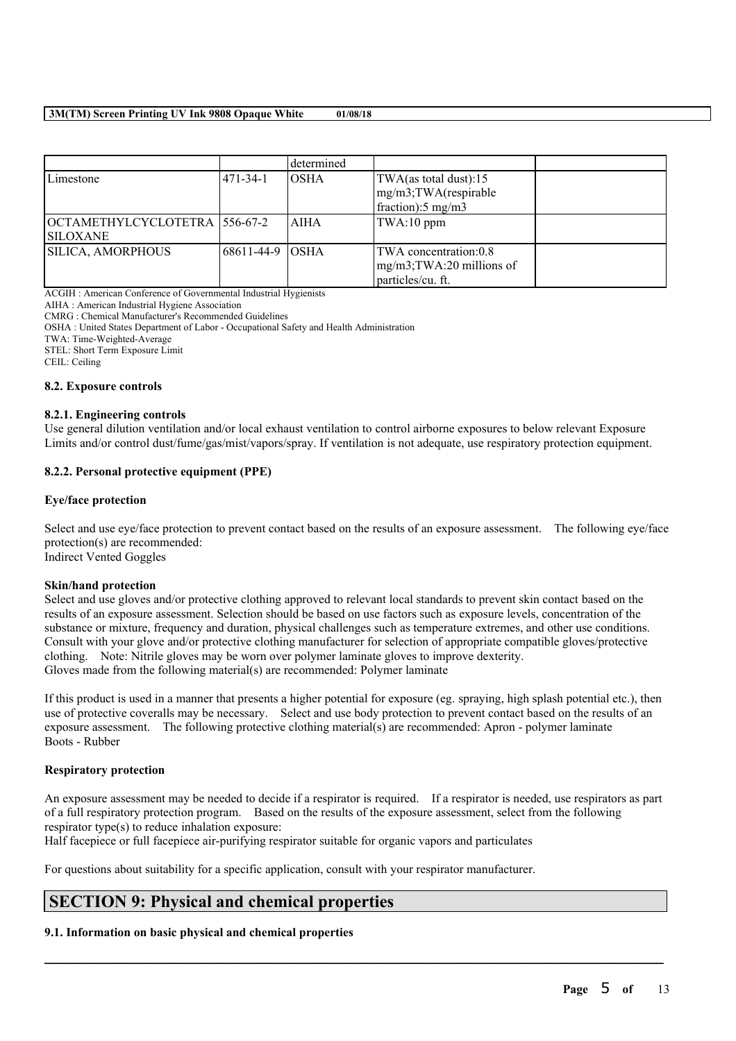|                               |                   | determined  |                                 |  |
|-------------------------------|-------------------|-------------|---------------------------------|--|
| Limestone                     | 1471-34-1         | IOSHA       | TWA(as total dust):15           |  |
|                               |                   |             | mg/m3;TWA(respirable            |  |
|                               |                   |             | $frac{1}{2}$ fraction): 5 mg/m3 |  |
| OCTAMETHYLCYCLOTETRA 556-67-2 |                   | <b>AIHA</b> | TWA:10 ppm                      |  |
| <b>SILOXANE</b>               |                   |             |                                 |  |
| <b>SILICA, AMORPHOUS</b>      | 168611-44-9 IOSHA |             | TWA concentration:0.8           |  |
|                               |                   |             | $mg/m3$ ; TWA: 20 millions of   |  |
|                               |                   |             | particles/cu. ft.               |  |

ACGIH : American Conference of Governmental Industrial Hygienists

AIHA : American Industrial Hygiene Association

CMRG : Chemical Manufacturer's Recommended Guidelines

OSHA : United States Department of Labor - Occupational Safety and Health Administration

TWA: Time-Weighted-Average

STEL: Short Term Exposure Limit

CEIL: Ceiling

#### **8.2. Exposure controls**

#### **8.2.1. Engineering controls**

Use general dilution ventilation and/or local exhaust ventilation to control airborne exposures to below relevant Exposure Limits and/or control dust/fume/gas/mist/vapors/spray. If ventilation is not adequate, use respiratory protection equipment.

### **8.2.2. Personal protective equipment (PPE)**

#### **Eye/face protection**

Select and use eve/face protection to prevent contact based on the results of an exposure assessment. The following eve/face protection(s) are recommended: Indirect Vented Goggles

#### **Skin/hand protection**

Select and use gloves and/or protective clothing approved to relevant local standards to prevent skin contact based on the results of an exposure assessment. Selection should be based on use factors such as exposure levels, concentration of the substance or mixture, frequency and duration, physical challenges such as temperature extremes, and other use conditions. Consult with your glove and/or protective clothing manufacturer for selection of appropriate compatible gloves/protective clothing. Note: Nitrile gloves may be worn over polymer laminate gloves to improve dexterity. Gloves made from the following material(s) are recommended: Polymer laminate

If this product is used in a manner that presents a higher potential for exposure (eg. spraying, high splash potential etc.), then use of protective coveralls may be necessary. Select and use body protection to prevent contact based on the results of an exposure assessment. The following protective clothing material(s) are recommended: Apron - polymer laminate Boots - Rubber

#### **Respiratory protection**

An exposure assessment may be needed to decide if a respirator is required. If a respirator is needed, use respirators as part of a full respiratory protection program. Based on the results of the exposure assessment, select from the following respirator type(s) to reduce inhalation exposure:

 $\mathcal{L}_\mathcal{L} = \mathcal{L}_\mathcal{L} = \mathcal{L}_\mathcal{L} = \mathcal{L}_\mathcal{L} = \mathcal{L}_\mathcal{L} = \mathcal{L}_\mathcal{L} = \mathcal{L}_\mathcal{L} = \mathcal{L}_\mathcal{L} = \mathcal{L}_\mathcal{L} = \mathcal{L}_\mathcal{L} = \mathcal{L}_\mathcal{L} = \mathcal{L}_\mathcal{L} = \mathcal{L}_\mathcal{L} = \mathcal{L}_\mathcal{L} = \mathcal{L}_\mathcal{L} = \mathcal{L}_\mathcal{L} = \mathcal{L}_\mathcal{L}$ 

Half facepiece or full facepiece air-purifying respirator suitable for organic vapors and particulates

For questions about suitability for a specific application, consult with your respirator manufacturer.

# **SECTION 9: Physical and chemical properties**

### **9.1. Information on basic physical and chemical properties**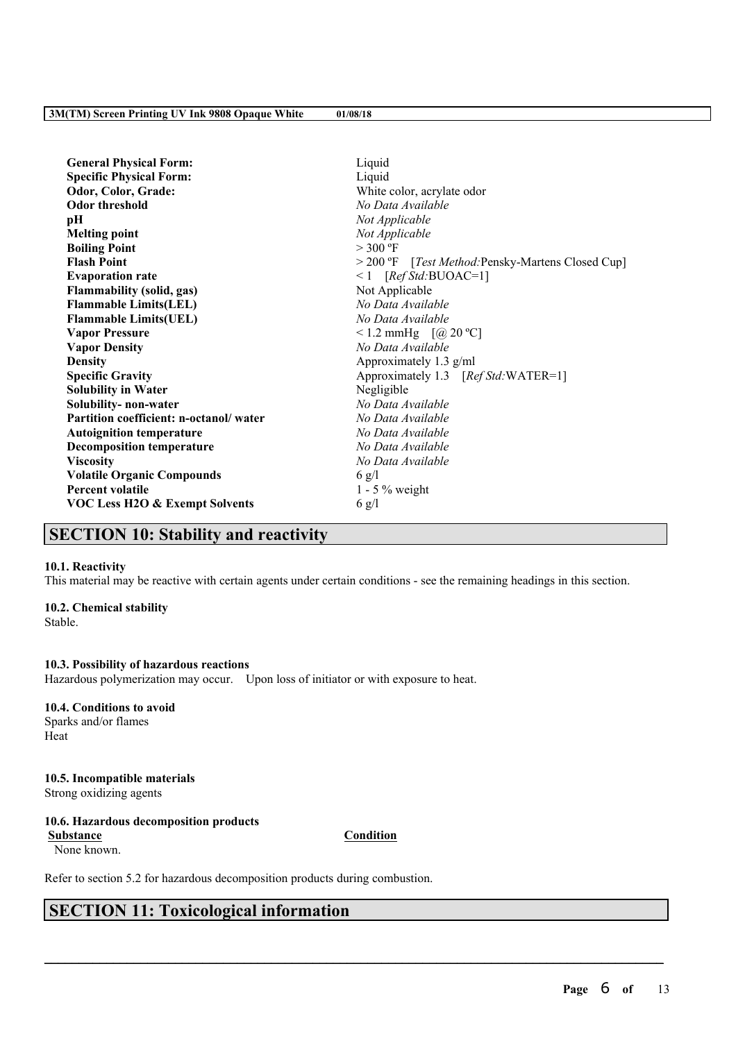| <b>General Physical Form:</b>             | Liquid                                            |  |  |
|-------------------------------------------|---------------------------------------------------|--|--|
| <b>Specific Physical Form:</b>            | Liquid                                            |  |  |
| Odor, Color, Grade:                       | White color, acrylate odor                        |  |  |
| <b>Odor threshold</b>                     | No Data Available                                 |  |  |
| pН                                        | Not Applicable                                    |  |  |
| <b>Melting point</b>                      | Not Applicable                                    |  |  |
| <b>Boiling Point</b>                      | $>$ 300 °F                                        |  |  |
| <b>Flash Point</b>                        | > 200 °F [Test Method: Pensky-Martens Closed Cup] |  |  |
| <b>Evaporation rate</b>                   | $\leq 1$ [Ref Std:BUOAC=1]                        |  |  |
| <b>Flammability (solid, gas)</b>          | Not Applicable                                    |  |  |
| <b>Flammable Limits(LEL)</b>              | No Data Available                                 |  |  |
| <b>Flammable Limits(UEL)</b>              | No Data Available                                 |  |  |
| <b>Vapor Pressure</b>                     | <1.2 mmHg $[@ 20 °C]$                             |  |  |
| <b>Vapor Density</b>                      | No Data Available                                 |  |  |
| <b>Density</b>                            | Approximately 1.3 g/ml                            |  |  |
| <b>Specific Gravity</b>                   | Approximately 1.3 [Ref Std:WATER=1]               |  |  |
| <b>Solubility in Water</b>                | Negligible                                        |  |  |
| Solubility- non-water                     | No Data Available                                 |  |  |
| Partition coefficient: n-octanol/water    | No Data Available                                 |  |  |
| <b>Autoignition temperature</b>           | No Data Available                                 |  |  |
| <b>Decomposition temperature</b>          | No Data Available                                 |  |  |
| <b>Viscosity</b>                          | No Data Available                                 |  |  |
| <b>Volatile Organic Compounds</b>         | $6 \text{ g/l}$                                   |  |  |
| <b>Percent volatile</b>                   | $1 - 5\%$ weight                                  |  |  |
| <b>VOC Less H2O &amp; Exempt Solvents</b> | $6 \text{ g}/\text{l}$                            |  |  |
|                                           |                                                   |  |  |

# **SECTION 10: Stability and reactivity**

## **10.1. Reactivity**

This material may be reactive with certain agents under certain conditions - see the remaining headings in this section.

## **10.2. Chemical stability**

Stable.

## **10.3. Possibility of hazardous reactions**

Hazardous polymerization may occur. Upon loss of initiator or with exposure to heat.

## **10.4. Conditions to avoid**

Sparks and/or flames Heat

## **10.5. Incompatible materials**

Strong oxidizing agents

# **10.6. Hazardous decomposition products**

None known.

**Substance Condition**

 $\mathcal{L}_\mathcal{L} = \mathcal{L}_\mathcal{L} = \mathcal{L}_\mathcal{L} = \mathcal{L}_\mathcal{L} = \mathcal{L}_\mathcal{L} = \mathcal{L}_\mathcal{L} = \mathcal{L}_\mathcal{L} = \mathcal{L}_\mathcal{L} = \mathcal{L}_\mathcal{L} = \mathcal{L}_\mathcal{L} = \mathcal{L}_\mathcal{L} = \mathcal{L}_\mathcal{L} = \mathcal{L}_\mathcal{L} = \mathcal{L}_\mathcal{L} = \mathcal{L}_\mathcal{L} = \mathcal{L}_\mathcal{L} = \mathcal{L}_\mathcal{L}$ 

Refer to section 5.2 for hazardous decomposition products during combustion.

# **SECTION 11: Toxicological information**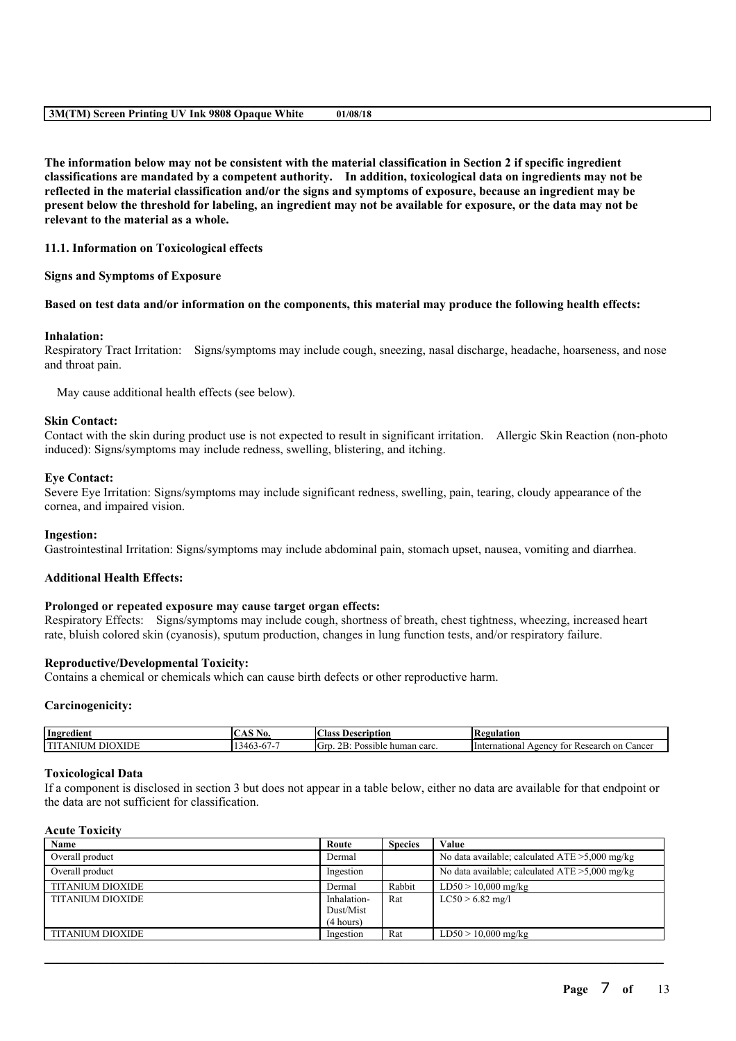The information below may not be consistent with the material classification in Section 2 if specific ingredient **classifications are mandated by a competent authority. In addition, toxicological data on ingredients may not be** reflected in the material classification and/or the signs and symptoms of exposure, because an ingredient may be present below the threshold for labeling, an ingredient may not be available for exposure, or the data may not be **relevant to the material as a whole.**

## **11.1. Information on Toxicological effects**

#### **Signs and Symptoms of Exposure**

### Based on test data and/or information on the components, this material may produce the following health effects:

### **Inhalation:**

Respiratory Tract Irritation: Signs/symptoms may include cough, sneezing, nasal discharge, headache, hoarseness, and nose and throat pain.

May cause additional health effects (see below).

#### **Skin Contact:**

Contact with the skin during product use is not expected to result in significant irritation. Allergic Skin Reaction (non-photo induced): Signs/symptoms may include redness, swelling, blistering, and itching.

#### **Eye Contact:**

Severe Eye Irritation: Signs/symptoms may include significant redness, swelling, pain, tearing, cloudy appearance of the cornea, and impaired vision.

#### **Ingestion:**

Gastrointestinal Irritation: Signs/symptoms may include abdominal pain, stomach upset, nausea, vomiting and diarrhea.

#### **Additional Health Effects:**

#### **Prolonged or repeated exposure may cause target organ effects:**

Respiratory Effects: Signs/symptoms may include cough, shortness of breath, chest tightness, wheezing, increased heart rate, bluish colored skin (cyanosis), sputum production, changes in lung function tests, and/or respiratory failure.

#### **Reproductive/Developmental Toxicity:**

Contains a chemical or chemicals which can cause birth defects or other reproductive harm.

#### **Carcinogenicity:**

| Ingredient                                           | --                        | $\sim$                                                                                        | в                                                                                  |
|------------------------------------------------------|---------------------------|-----------------------------------------------------------------------------------------------|------------------------------------------------------------------------------------|
|                                                      | TVO.                      | Aass                                                                                          | 'egulation                                                                         |
|                                                      | $\cdots$                  | Description                                                                                   | N                                                                                  |
| <b>CONTRACTOR</b><br>$\overline{\phantom{a}}$<br>1 M | $\sim$<br>``<br>Ξυ.<br>᠇୰ | $\sim$ $\sim$<br>$\sqrt{2}$<br>carc<br>-Gr<br>. ⊨≀<br>uble.<br>huma<br>$\sim$<br>، ، ،<br>паг | International<br>'esearch<br>.oenev<br>Cancel<br>on<br>tor<br>$\overline{ }$<br>n. |

#### **Toxicological Data**

If a component is disclosed in section 3 but does not appear in a table below, either no data are available for that endpoint or the data are not sufficient for classification.

#### **Acute Toxicity**

| Name                    | Route       | <b>Species</b> | Value                                             |
|-------------------------|-------------|----------------|---------------------------------------------------|
| Overall product         | Dermal      |                | No data available; calculated $ATE > 5,000$ mg/kg |
| Overall product         | Ingestion   |                | No data available; calculated $ATE > 5,000$ mg/kg |
| <b>TITANIUM DIOXIDE</b> | Dermal      | Rabbit         | $LD50 > 10,000$ mg/kg                             |
| <b>TITANIUM DIOXIDE</b> | Inhalation- | Rat            | $LC50 > 6.82$ mg/l                                |
|                         | Dust/Mist   |                |                                                   |
|                         | (4 hours)   |                |                                                   |
| <b>TITANIUM DIOXIDE</b> | Ingestion   | Rat            | $LD50 > 10,000$ mg/kg                             |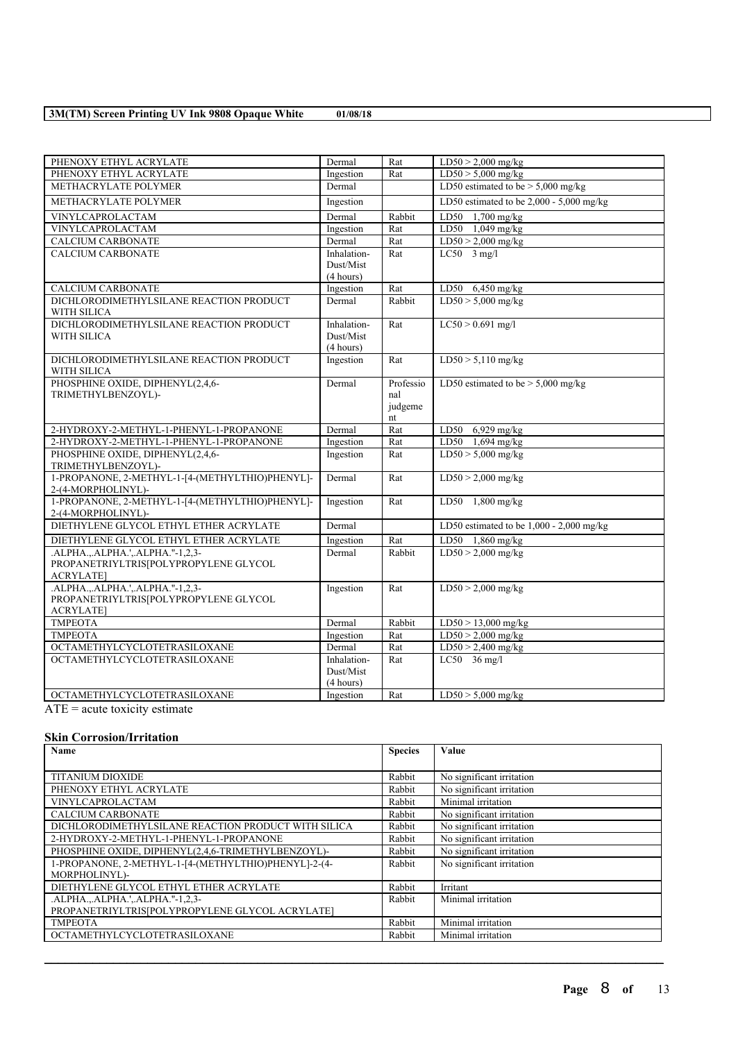| PHENOXY ETHYL ACRYLATE                                                                         | Dermal                                | Rat                               | $LD50 > 2,000$ mg/kg                       |
|------------------------------------------------------------------------------------------------|---------------------------------------|-----------------------------------|--------------------------------------------|
| PHENOXY ETHYL ACRYLATE                                                                         | Ingestion                             | Rat                               | $LD50 > 5,000$ mg/kg                       |
| METHACRYLATE POLYMER                                                                           | Dermal                                |                                   | LD50 estimated to be $> 5,000$ mg/kg       |
| METHACRYLATE POLYMER                                                                           | Ingestion                             |                                   | LD50 estimated to be $2,000 - 5,000$ mg/kg |
| VINYLCAPROLACTAM                                                                               | Dermal                                | Rabbit                            | LD50 1,700 mg/kg                           |
| VINYLCAPROLACTAM                                                                               | Ingestion                             | Rat                               | $LD50$ 1,049 mg/kg                         |
| <b>CALCIUM CARBONATE</b>                                                                       | Dermal                                | Rat                               | $LD50 > 2,000$ mg/kg                       |
| <b>CALCIUM CARBONATE</b>                                                                       | Inhalation-<br>Dust/Mist<br>(4 hours) | Rat                               | $LC50 - 3$ mg/l                            |
| <b>CALCIUM CARBONATE</b>                                                                       | Ingestion                             | Rat                               | LD50 $6,450$ mg/kg                         |
| DICHLORODIMETHYLSILANE REACTION PRODUCT<br>WITH SILICA                                         | Dermal                                | Rabbit                            | $LD50 > 5.000$ mg/kg                       |
| DICHLORODIMETHYLSILANE REACTION PRODUCT<br><b>WITH SILICA</b>                                  | Inhalation-<br>Dust/Mist<br>(4 hours) | Rat                               | $LC50 > 0.691$ mg/l                        |
| DICHLORODIMETHYLSILANE REACTION PRODUCT<br><b>WITH SILICA</b>                                  | Ingestion                             | Rat                               | $LD50 > 5,110$ mg/kg                       |
| PHOSPHINE OXIDE, DIPHENYL(2,4,6-<br>TRIMETHYLBENZOYL)-                                         | Dermal                                | Professio<br>nal<br>judgeme<br>nt | LD50 estimated to be $> 5,000$ mg/kg       |
| 2-HYDROXY-2-METHYL-1-PHENYL-1-PROPANONE                                                        | Dermal                                | Rat                               | LD50 6,929 mg/kg                           |
| 2-HYDROXY-2-METHYL-1-PHENYL-1-PROPANONE                                                        | Ingestion                             | Rat                               | LD50 1,694 mg/kg                           |
| PHOSPHINE OXIDE, DIPHENYL(2,4,6-<br>TRIMETHYLBENZOYL)-                                         | Ingestion                             | Rat                               | $LD50 > 5,000$ mg/kg                       |
| 1-PROPANONE, 2-METHYL-1-[4-(METHYLTHIO)PHENYL]-<br>2-(4-MORPHOLINYL)-                          | Dermal                                | Rat                               | $LD50 > 2,000$ mg/kg                       |
| 1-PROPANONE, 2-METHYL-1-[4-(METHYLTHIO)PHENYL]-<br>2-(4-MORPHOLINYL)-                          | Ingestion                             | Rat                               | LD50 $1,800$ mg/kg                         |
| DIETHYLENE GLYCOL ETHYL ETHER ACRYLATE                                                         | Dermal                                |                                   | LD50 estimated to be $1,000 - 2,000$ mg/kg |
| DIETHYLENE GLYCOL ETHYL ETHER ACRYLATE                                                         | Ingestion                             | Rat                               | LD50 1,860 mg/kg                           |
| .ALPHA., ALPHA.', ALPHA."-1,2,3-<br>PROPANETRIYLTRIS[POLYPROPYLENE GLYCOL<br><b>ACRYLATE]</b>  | Dermal                                | Rabbit                            | $LD50 > 2,000$ mg/kg                       |
| .ALPHA.,.ALPHA.',.ALPHA."-1,2,3-<br>PROPANETRIYLTRIS[POLYPROPYLENE GLYCOL<br><b>ACRYLATE</b> ] | Ingestion                             | Rat                               | $LD50 > 2,000$ mg/kg                       |
| <b>TMPEOTA</b>                                                                                 | Dermal                                | Rabbit                            | $LD50 > 13,000$ mg/kg                      |
| <b>TMPEOTA</b>                                                                                 | Ingestion                             | Rat                               | $LD50 > 2,000$ mg/kg                       |
| OCTAMETHYLCYCLOTETRASILOXANE                                                                   | Dermal                                | Rat                               | $LD50 > 2,400$ mg/kg                       |
| <b>OCTAMETHYLCYCLOTETRASILOXANE</b>                                                            | Inhalation-<br>Dust/Mist<br>(4 hours) | Rat                               | $LC50$ 36 mg/l                             |
| OCTAMETHYLCYCLOTETRASILOXANE                                                                   | Ingestion                             | Rat                               | $LD50 > 5,000$ mg/kg                       |

 $\overline{ATE}$  = acute toxicity estimate

## **Skin Corrosion/Irritation**

| <b>Name</b>                                          | <b>Species</b> | <b>Value</b>              |
|------------------------------------------------------|----------------|---------------------------|
|                                                      |                |                           |
| <b>TITANIUM DIOXIDE</b>                              | Rabbit         | No significant irritation |
| PHENOXY ETHYL ACRYLATE                               | Rabbit         | No significant irritation |
| <b>VINYLCAPROLACTAM</b>                              | Rabbit         | Minimal irritation        |
| <b>CALCIUM CARBONATE</b>                             | Rabbit         | No significant irritation |
| DICHLORODIMETHYLSILANE REACTION PRODUCT WITH SILICA  | Rabbit         | No significant irritation |
| 2-HYDROXY-2-METHYL-1-PHENYL-1-PROPANONE              | Rabbit         | No significant irritation |
| PHOSPHINE OXIDE, DIPHENYL(2,4,6-TRIMETHYLBENZOYL)-   | Rabbit         | No significant irritation |
| 1-PROPANONE, 2-METHYL-1-[4-(METHYLTHIO)PHENYL]-2-(4- | Rabbit         | No significant irritation |
| MORPHOLINYL)-                                        |                |                           |
| DIETHYLENE GLYCOL ETHYL ETHER ACRYLATE               | Rabbit         | Irritant                  |
| .ALPHAALPHA.'ALPHA."-1,2,3-                          | Rabbit         | Minimal irritation        |
| PROPANETRIYLTRIS[POLYPROPYLENE GLYCOL ACRYLATE]      |                |                           |
| <b>TMPEOTA</b>                                       | Rabbit         | Minimal irritation        |
| OCTAMETHYLCYCLOTETRASILOXANE                         | Rabbit         | Minimal irritation        |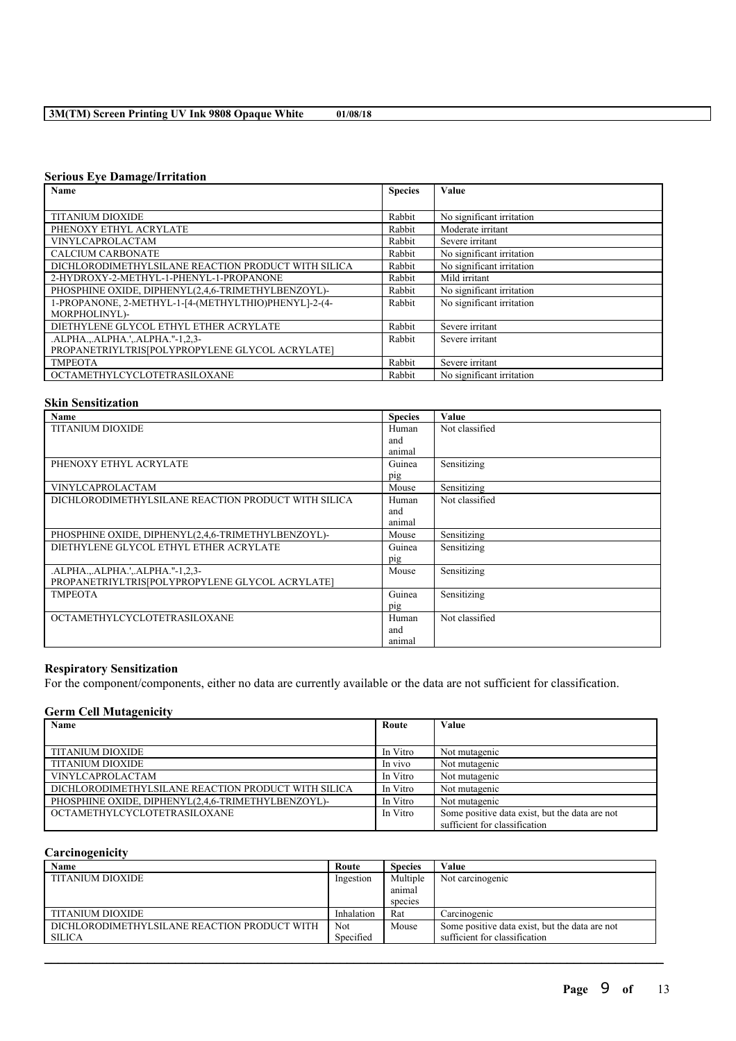## **Serious Eye Damage/Irritation**

| Name                                                 | <b>Species</b> | Value                     |
|------------------------------------------------------|----------------|---------------------------|
|                                                      |                |                           |
| <b>TITANIUM DIOXIDE</b>                              | Rabbit         | No significant irritation |
| PHENOXY ETHYL ACRYLATE                               | Rabbit         | Moderate irritant         |
| <b>VINYLCAPROLACTAM</b>                              | Rabbit         | Severe irritant           |
| <b>CALCIUM CARBONATE</b>                             | Rabbit         | No significant irritation |
| DICHLORODIMETHYLSILANE REACTION PRODUCT WITH SILICA  | Rabbit         | No significant irritation |
| 2-HYDROXY-2-METHYL-1-PHENYL-1-PROPANONE              | Rabbit         | Mild irritant             |
| PHOSPHINE OXIDE, DIPHENYL(2,4,6-TRIMETHYLBENZOYL)-   | Rabbit         | No significant irritation |
| 1-PROPANONE, 2-METHYL-1-[4-(METHYLTHIO)PHENYL]-2-(4- | Rabbit         | No significant irritation |
| MORPHOLINYL)-                                        |                |                           |
| DIETHYLENE GLYCOL ETHYL ETHER ACRYLATE               | Rabbit         | Severe irritant           |
| .ALPHAALPHA.'ALPHA."-1,2,3-                          | Rabbit         | Severe irritant           |
| PROPANETRIYLTRIS[POLYPROPYLENE GLYCOL ACRYLATE]      |                |                           |
| <b>TMPEOTA</b>                                       | Rabbit         | Severe irritant           |
| OCTAMETHYLCYCLOTETRASILOXANE                         | Rabbit         | No significant irritation |

## **Skin Sensitization**

| <b>Name</b>                                         | <b>Species</b> | Value          |
|-----------------------------------------------------|----------------|----------------|
| <b>TITANIUM DIOXIDE</b>                             | Human          | Not classified |
|                                                     | and            |                |
|                                                     | animal         |                |
| PHENOXY ETHYL ACRYLATE                              | Guinea         | Sensitizing    |
|                                                     | pig            |                |
| <b>VINYLCAPROLACTAM</b>                             | Mouse          | Sensitizing    |
| DICHLORODIMETHYLSILANE REACTION PRODUCT WITH SILICA | Human          | Not classified |
|                                                     | and            |                |
|                                                     | animal         |                |
| PHOSPHINE OXIDE, DIPHENYL(2,4,6-TRIMETHYLBENZOYL)-  | Mouse          | Sensitizing    |
| DIETHYLENE GLYCOL ETHYL ETHER ACRYLATE              | Guinea         | Sensitizing    |
|                                                     | pig            |                |
| .ALPHAALPHA.'ALPHA."-1,2,3-                         | Mouse          | Sensitizing    |
| PROPANETRIYLTRIS[POLYPROPYLENE GLYCOL ACRYLATE]     |                |                |
| <b>TMPEOTA</b>                                      | Guinea         | Sensitizing    |
|                                                     | pig            |                |
| OCTAMETHYLCYCLOTETRASILOXANE                        | Human          | Not classified |
|                                                     | and            |                |
|                                                     | animal         |                |

## **Respiratory Sensitization**

For the component/components, either no data are currently available or the data are not sufficient for classification.

## **Germ Cell Mutagenicity**

| Name                                                | Route    | Value                                          |
|-----------------------------------------------------|----------|------------------------------------------------|
|                                                     |          |                                                |
| <b>TITANIUM DIOXIDE</b>                             | In Vitro | Not mutagenic                                  |
| <b>TITANIUM DIOXIDE</b>                             | In vivo  | Not mutagenic                                  |
| <b>VINYLCAPROLACTAM</b>                             | In Vitro | Not mutagenic                                  |
| DICHLORODIMETHYLSILANE REACTION PRODUCT WITH SILICA | In Vitro | Not mutagenic                                  |
| PHOSPHINE OXIDE, DIPHENYL(2,4,6-TRIMETHYLBENZOYL)-  | In Vitro | Not mutagenic                                  |
| OCTAMETHYLCYCLOTETRASILOXANE                        | In Vitro | Some positive data exist, but the data are not |
|                                                     |          | sufficient for classification                  |

## **Carcinogenicity**

| Name                                         | Route      | <b>Species</b> | Value                                          |
|----------------------------------------------|------------|----------------|------------------------------------------------|
| <b>TITANIUM DIOXIDE</b>                      | Ingestion  | Multiple       | Not carcinogenic                               |
|                                              |            | animal         |                                                |
|                                              |            | species        |                                                |
| <b>TITANIUM DIOXIDE</b>                      | Inhalation | Rat            | Carcinogenic                                   |
| DICHLORODIMETHYLSILANE REACTION PRODUCT WITH | Not        | Mouse          | Some positive data exist, but the data are not |
| SILICA                                       | Specified  |                | sufficient for classification                  |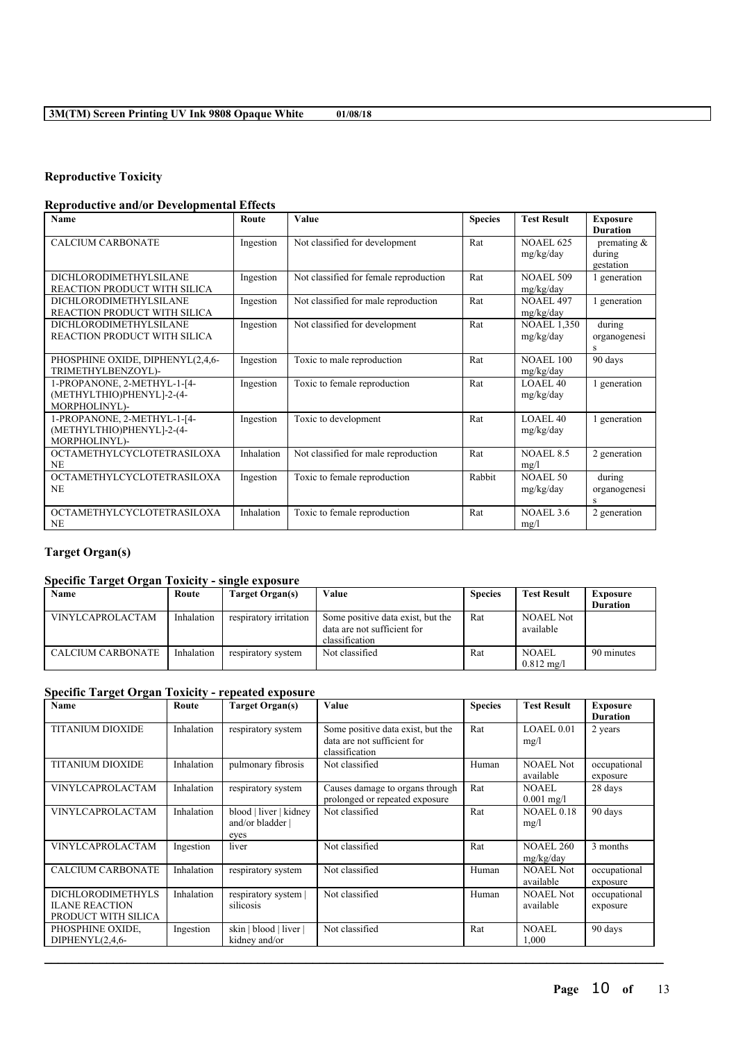## **Reproductive Toxicity**

## **Reproductive and/or Developmental Effects**

| <b>Name</b>                                                               | Route      | Value                                  | <b>Species</b> | <b>Test Result</b>               | <b>Exposure</b><br><b>Duration</b>    |
|---------------------------------------------------------------------------|------------|----------------------------------------|----------------|----------------------------------|---------------------------------------|
| <b>CALCIUM CARBONATE</b>                                                  | Ingestion  | Not classified for development         | Rat            | <b>NOAEL 625</b><br>mg/kg/day    | premating $\&$<br>during<br>gestation |
| DICHLORODIMETHYLSILANE<br>REACTION PRODUCT WITH SILICA                    | Ingestion  | Not classified for female reproduction | Rat            | <b>NOAEL 509</b><br>mg/kg/day    | 1 generation                          |
| <b>DICHLORODIMETHYLSILANE</b><br>REACTION PRODUCT WITH SILICA             | Ingestion  | Not classified for male reproduction   | Rat            | <b>NOAEL 497</b><br>mg/kg/day    | 1 generation                          |
| DICHLORODIMETHYLSILANE<br>REACTION PRODUCT WITH SILICA                    | Ingestion  | Not classified for development         | Rat            | <b>NOAEL 1,350</b><br>mg/kg/day  | during<br>organogenesi<br>S           |
| PHOSPHINE OXIDE, DIPHENYL(2,4,6-<br>TRIMETHYLBENZOYL)-                    | Ingestion  | Toxic to male reproduction             | Rat            | <b>NOAEL 100</b><br>mg/kg/day    | 90 days                               |
| 1-PROPANONE, 2-METHYL-1-[4-<br>(METHYLTHIO)PHENYL]-2-(4-<br>MORPHOLINYL)- | Ingestion  | Toxic to female reproduction           | Rat            | LOAEL40<br>mg/kg/day             | 1 generation                          |
| 1-PROPANONE, 2-METHYL-1-[4-<br>(METHYLTHIO)PHENYL]-2-(4-<br>MORPHOLINYL)- | Ingestion  | Toxic to development                   | Rat            | LOAEL <sub>40</sub><br>mg/kg/day | 1 generation                          |
| <b>OCTAMETHYLCYCLOTETRASILOXA</b><br><b>NE</b>                            | Inhalation | Not classified for male reproduction   | Rat            | NOAEL 8.5<br>mg/l                | 2 generation                          |
| <b>OCTAMETHYLCYCLOTETRASILOXA</b><br><b>NE</b>                            | Ingestion  | Toxic to female reproduction           | Rabbit         | NOAEL 50<br>mg/kg/day            | during<br>organogenesi<br>S           |
| <b>OCTAMETHYLCYCLOTETRASILOXA</b><br><b>NE</b>                            | Inhalation | Toxic to female reproduction           | Rat            | NOAEL <sub>3.6</sub><br>mg/l     | 2 generation                          |

# **Target Organ(s)**

## **Specific Target Organ Toxicity - single exposure**

| Name                     | Route      | Target Organ(s)        | Value                                                            | <b>Species</b> | <b>Test Result</b>            | Exposure        |
|--------------------------|------------|------------------------|------------------------------------------------------------------|----------------|-------------------------------|-----------------|
|                          |            |                        |                                                                  |                |                               | <b>Duration</b> |
| <b>VINYLCAPROLACTAM</b>  | Inhalation | respiratory irritation | Some positive data exist, but the<br>data are not sufficient for | Rat            | <b>NOAEL Not</b><br>available |                 |
|                          |            |                        | classification                                                   |                |                               |                 |
| <b>CALCIUM CARBONATE</b> | Inhalation | respiratory system     | Not classified                                                   | Rat            | <b>NOAEL</b>                  | 90 minutes      |
|                          |            |                        |                                                                  |                | $0.812 \text{ m}$ g/l         |                 |

## **Specific Target Organ Toxicity - repeated exposure**

| Name                                                                     | Route      | <b>Target Organ(s)</b>                             | <b>Value</b>                                                                       | <b>Species</b> | <b>Test Result</b>            | <b>Exposure</b><br><b>Duration</b> |
|--------------------------------------------------------------------------|------------|----------------------------------------------------|------------------------------------------------------------------------------------|----------------|-------------------------------|------------------------------------|
| <b>TITANIUM DIOXIDE</b>                                                  | Inhalation | respiratory system                                 | Some positive data exist, but the<br>data are not sufficient for<br>classification | Rat            | LOAEL 0.01<br>mg/l            | 2 years                            |
| <b>TITANIUM DIOXIDE</b>                                                  | Inhalation | pulmonary fibrosis                                 | Not classified                                                                     | Human          | <b>NOAEL Not</b><br>available | occupational<br>exposure           |
| <b>VINYLCAPROLACTAM</b>                                                  | Inhalation | respiratory system                                 | Causes damage to organs through<br>prolonged or repeated exposure                  | Rat            | <b>NOAEL</b><br>$0.001$ mg/l  | 28 days                            |
| <b>VINYLCAPROLACTAM</b>                                                  | Inhalation | blood   liver   kidney<br>and/or bladder  <br>eyes | Not classified                                                                     | Rat            | <b>NOAEL 0.18</b><br>mg/l     | 90 days                            |
| <b>VINYLCAPROLACTAM</b>                                                  | Ingestion  | liver                                              | Not classified                                                                     | Rat            | <b>NOAEL 260</b><br>mg/kg/day | 3 months                           |
| <b>CALCIUM CARBONATE</b>                                                 | Inhalation | respiratory system                                 | Not classified                                                                     | Human          | <b>NOAEL Not</b><br>available | occupational<br>exposure           |
| <b>DICHLORODIMETHYLS</b><br><b>ILANE REACTION</b><br>PRODUCT WITH SILICA | Inhalation | respiratory system<br>silicosis                    | Not classified                                                                     | Human          | <b>NOAEL Not</b><br>available | occupational<br>exposure           |
| PHOSPHINE OXIDE.<br>DIPHENYL $(2,4,6$ -                                  | Ingestion  | skin   blood   liver  <br>kidney and/or            | Not classified                                                                     | Rat            | <b>NOAEL</b><br>1,000         | 90 days                            |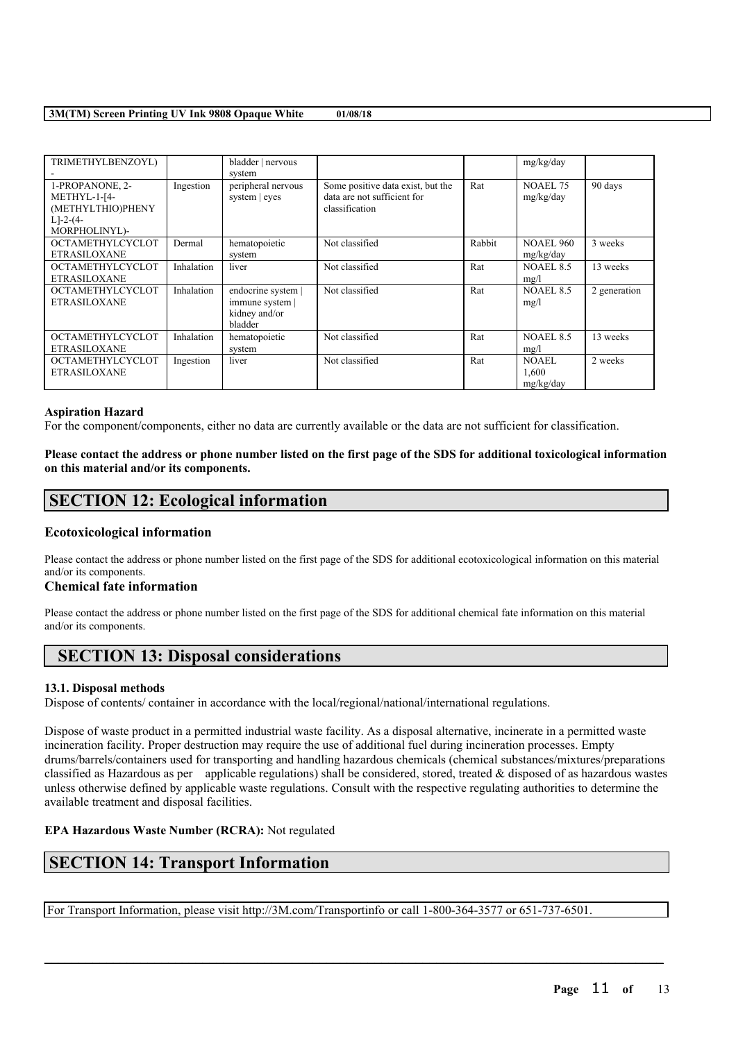| TRIMETHYLBENZOYL)       |            | bladder   nervous  |                                   |        | mg/kg/day        |              |
|-------------------------|------------|--------------------|-----------------------------------|--------|------------------|--------------|
|                         |            | system             |                                   |        |                  |              |
| 1-PROPANONE, 2-         | Ingestion  | peripheral nervous | Some positive data exist, but the | Rat    | <b>NOAEL 75</b>  | 90 days      |
| METHYL-1-[4-            |            | system   eyes      | data are not sufficient for       |        | mg/kg/day        |              |
| (METHYLTHIO)PHENY       |            |                    | classification                    |        |                  |              |
| $L$ ]-2-(4-             |            |                    |                                   |        |                  |              |
| MORPHOLINYL)-           |            |                    |                                   |        |                  |              |
| <b>OCTAMETHYLCYCLOT</b> | Dermal     | hematopoietic      | Not classified                    | Rabbit | <b>NOAEL 960</b> | 3 weeks      |
| <b>ETRASILOXANE</b>     |            | system             |                                   |        | mg/kg/day        |              |
| <b>OCTAMETHYLCYCLOT</b> | Inhalation | liver              | Not classified                    | Rat    | <b>NOAEL 8.5</b> | 13 weeks     |
| <b>ETRASILOXANE</b>     |            |                    |                                   |        | mg/l             |              |
| <b>OCTAMETHYLCYCLOT</b> | Inhalation | endocrine system   | Not classified                    | Rat    | NOAEL 8.5        | 2 generation |
| ETRASILOXANE            |            | immune system      |                                   |        | mg/l             |              |
|                         |            | kidney and/or      |                                   |        |                  |              |
|                         |            | bladder            |                                   |        |                  |              |
| <b>OCTAMETHYLCYCLOT</b> | Inhalation | hematopoietic      | Not classified                    | Rat    | <b>NOAEL 8.5</b> | 13 weeks     |
| <b>ETRASILOXANE</b>     |            | system             |                                   |        | mg/l             |              |
| <b>OCTAMETHYLCYCLOT</b> | Ingestion  | liver              | Not classified                    | Rat    | <b>NOAEL</b>     | 2 weeks      |
| <b>ETRASILOXANE</b>     |            |                    |                                   |        | 1,600            |              |
|                         |            |                    |                                   |        | mg/kg/day        |              |

### **Aspiration Hazard**

For the component/components, either no data are currently available or the data are not sufficient for classification.

Please contact the address or phone number listed on the first page of the SDS for additional toxicological information **on this material and/or its components.**

# **SECTION 12: Ecological information**

## **Ecotoxicological information**

Please contact the address or phone number listed on the first page of the SDS for additional ecotoxicological information on this material and/or its components.

## **Chemical fate information**

Please contact the address or phone number listed on the first page of the SDS for additional chemical fate information on this material and/or its components.

# **SECTION 13: Disposal considerations**

## **13.1. Disposal methods**

Dispose of contents/ container in accordance with the local/regional/national/international regulations.

Dispose of waste product in a permitted industrial waste facility. As a disposal alternative, incinerate in a permitted waste incineration facility. Proper destruction may require the use of additional fuel during incineration processes. Empty drums/barrels/containers used for transporting and handling hazardous chemicals (chemical substances/mixtures/preparations classified as Hazardous as per applicable regulations) shall be considered, stored, treated  $\&$  disposed of as hazardous wastes unless otherwise defined by applicable waste regulations. Consult with the respective regulating authorities to determine the available treatment and disposal facilities.

 $\mathcal{L}_\mathcal{L} = \mathcal{L}_\mathcal{L} = \mathcal{L}_\mathcal{L} = \mathcal{L}_\mathcal{L} = \mathcal{L}_\mathcal{L} = \mathcal{L}_\mathcal{L} = \mathcal{L}_\mathcal{L} = \mathcal{L}_\mathcal{L} = \mathcal{L}_\mathcal{L} = \mathcal{L}_\mathcal{L} = \mathcal{L}_\mathcal{L} = \mathcal{L}_\mathcal{L} = \mathcal{L}_\mathcal{L} = \mathcal{L}_\mathcal{L} = \mathcal{L}_\mathcal{L} = \mathcal{L}_\mathcal{L} = \mathcal{L}_\mathcal{L}$ 

## **EPA Hazardous Waste Number (RCRA):** Not regulated

# **SECTION 14: Transport Information**

For Transport Information, please visit http://3M.com/Transportinfo or call 1-800-364-3577 or 651-737-6501.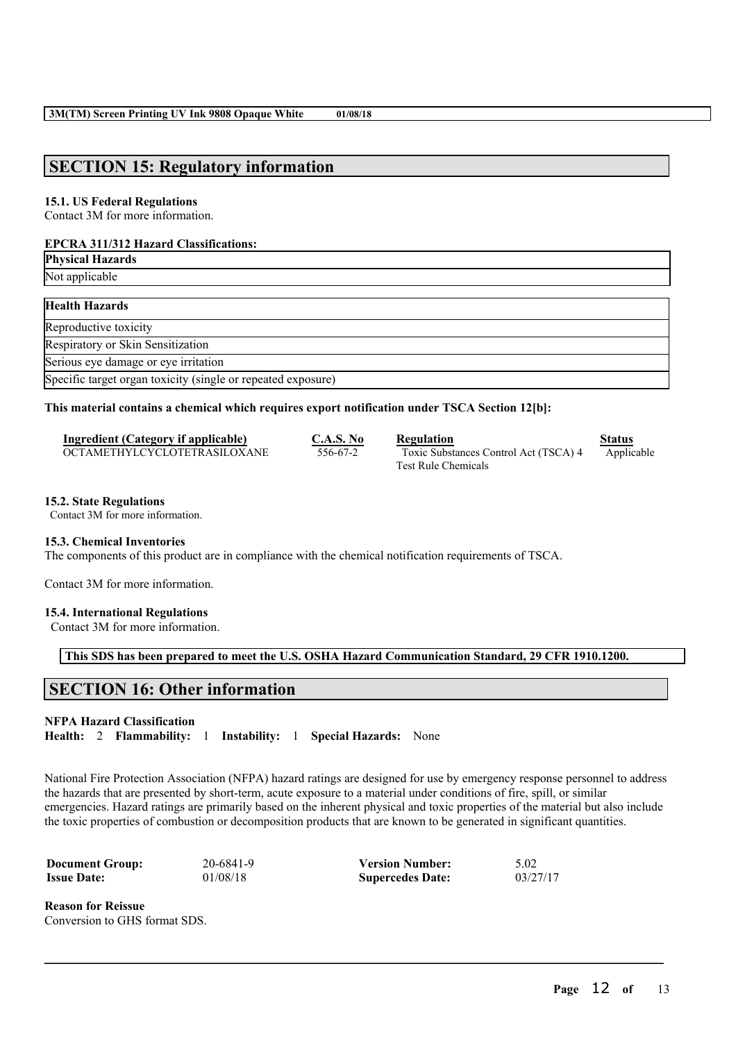# **SECTION 15: Regulatory information**

## **15.1. US Federal Regulations**

Contact 3M for more information.

## **EPCRA 311/312 Hazard Classifications:**

**Physical Hazards** Not applicable **Health Hazards** Reproductive toxicity Respiratory or Skin Sensitization Serious eye damage or eye irritation Specific target organ toxicity (single or repeated exposure)

## **This material contains a chemical which requires export notification under TSCA Section 12[b]:**

| Ingredient (Category if applicable) | C.A.S. No | Regulation                            | Status     |
|-------------------------------------|-----------|---------------------------------------|------------|
| OCTAMETHYLCYCLOTETRASILOXANE        | 556-67-2  | Toxic Substances Control Act (TSCA) 4 | Applicable |
|                                     |           | <b>Test Rule Chemicals</b>            |            |

#### **15.2. State Regulations**

Contact 3M for more information.

## **15.3. Chemical Inventories**

The components of this product are in compliance with the chemical notification requirements of TSCA.

Contact 3M for more information.

#### **15.4. International Regulations**

Contact 3M for more information.

**This SDS has been prepared to meet the U.S. OSHA Hazard Communication Standard, 29 CFR 1910.1200.**

# **SECTION 16: Other information**

## **NFPA Hazard Classification**

**Health:** 2 **Flammability:** 1 **Instability:** 1 **Special Hazards:** None

National Fire Protection Association (NFPA) hazard ratings are designed for use by emergency response personnel to address the hazards that are presented by short-term, acute exposure to a material under conditions of fire, spill, or similar emergencies. Hazard ratings are primarily based on the inherent physical and toxic properties of the material but also include the toxic properties of combustion or decomposition products that are known to be generated in significant quantities.

 $\mathcal{L}_\mathcal{L} = \mathcal{L}_\mathcal{L} = \mathcal{L}_\mathcal{L} = \mathcal{L}_\mathcal{L} = \mathcal{L}_\mathcal{L} = \mathcal{L}_\mathcal{L} = \mathcal{L}_\mathcal{L} = \mathcal{L}_\mathcal{L} = \mathcal{L}_\mathcal{L} = \mathcal{L}_\mathcal{L} = \mathcal{L}_\mathcal{L} = \mathcal{L}_\mathcal{L} = \mathcal{L}_\mathcal{L} = \mathcal{L}_\mathcal{L} = \mathcal{L}_\mathcal{L} = \mathcal{L}_\mathcal{L} = \mathcal{L}_\mathcal{L}$ 

| <b>Document Group:</b> | 20-6841-9 | <b>Version Number:</b>  | 5.02     |
|------------------------|-----------|-------------------------|----------|
| <b>Issue Date:</b>     | 01/08/18  | <b>Supercedes Date:</b> | 03/27/17 |

**Reason for Reissue** Conversion to GHS format SDS.